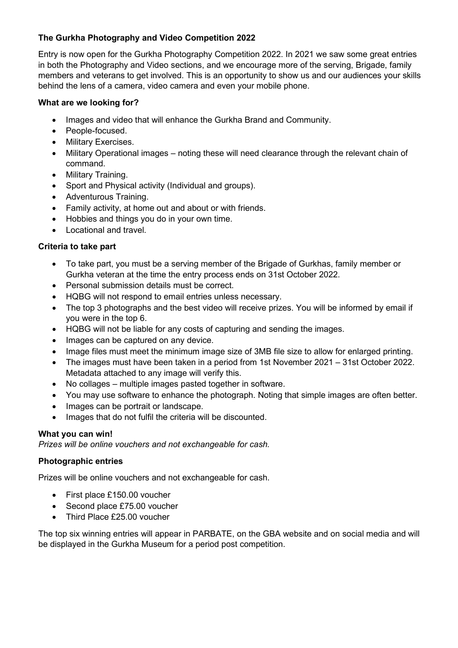# **The Gurkha Photography and Video Competition 2022**

Entry is now open for the Gurkha Photography Competition 2022. In 2021 we saw some great entries in both the Photography and Video sections, and we encourage more of the serving, Brigade, family members and veterans to get involved. This is an opportunity to show us and our audiences your skills behind the lens of a camera, video camera and even your mobile phone.

#### **What are we looking for?**

- Images and video that will enhance the Gurkha Brand and Community.
- People-focused.
- **Military Exercises.**
- Military Operational images noting these will need clearance through the relevant chain of command.
- Military Training.
- Sport and Physical activity (Individual and groups).
- Adventurous Training.
- Family activity, at home out and about or with friends.
- Hobbies and things you do in your own time.
- Locational and travel.

### **Criteria to take part**

- To take part, you must be a serving member of the Brigade of Gurkhas, family member or Gurkha veteran at the time the entry process ends on 31st October 2022.
- Personal submission details must be correct.
- HQBG will not respond to email entries unless necessary.
- The top 3 photographs and the best video will receive prizes. You will be informed by email if you were in the top 6.
- HQBG will not be liable for any costs of capturing and sending the images.
- Images can be captured on any device.
- Image files must meet the minimum image size of 3MB file size to allow for enlarged printing.
- The images must have been taken in a period from 1st November 2021 31st October 2022. Metadata attached to any image will verify this.
- No collages multiple images pasted together in software.
- You may use software to enhance the photograph. Noting that simple images are often better.
- Images can be portrait or landscape.
- Images that do not fulfil the criteria will be discounted.

### **What you can win!**

*Prizes will be online vouchers and not exchangeable for cash.*

### **Photographic entries**

Prizes will be online vouchers and not exchangeable for cash.

- First place £150.00 voucher
- Second place £75.00 voucher
- Third Place £25.00 voucher

The top six winning entries will appear in PARBATE, on the GBA website and on social media and will be displayed in the Gurkha Museum for a period post competition.